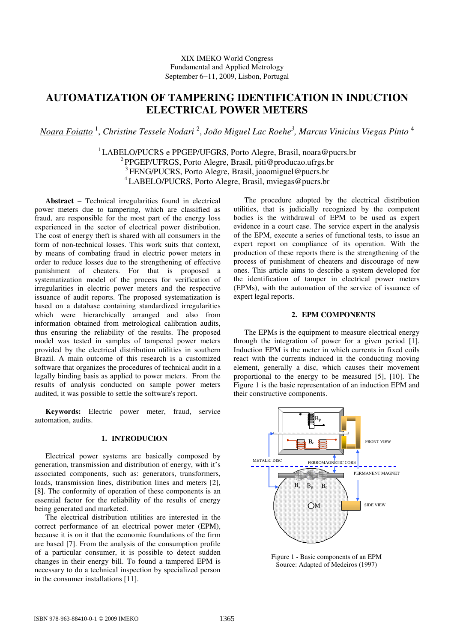# XIX IMEKO World Congress Fundamental and Applied Metrology September 6−11, 2009, Lisbon, Portugal

# **AUTOMATIZATION OF TAMPERING IDENTIFICATION IN INDUCTION ELECTRICAL POWER METERS**

*Noara Foiatto* <sup>1</sup> , *Christine Tessele Nodari* <sup>2</sup> , *João Miguel Lac Roehe<sup>3</sup> , Marcus Vinicius Viegas Pinto* <sup>4</sup>

<sup>1</sup> LABELO/PUCRS e PPGEP/UFGRS, Porto Alegre, Brasil, noara@pucrs.br <sup>2</sup> PPGEP/UFRGS, Porto Alegre, Brasil, piti@producao.ufrgs.br <sup>3</sup>FENG/PUCRS, Porto Alegre, Brasil, joaomiguel@pucrs.br <sup>4</sup>LABELO/PUCRS, Porto Alegre, Brasil, mviegas@pucrs.br

**Abstract** − Technical irregularities found in electrical power meters due to tampering, which are classified as fraud, are responsible for the most part of the energy loss experienced in the sector of electrical power distribution. The cost of energy theft is shared with all consumers in the form of non-technical losses. This work suits that context, by means of combating fraud in electric power meters in order to reduce losses due to the strengthening of effective punishment of cheaters. For that is proposed a systematization model of the process for verification of irregularities in electric power meters and the respective issuance of audit reports. The proposed systematization is based on a database containing standardized irregularities which were hierarchically arranged and also from information obtained from metrological calibration audits, thus ensuring the reliability of the results. The proposed model was tested in samples of tampered power meters provided by the electrical distribution utilities in southern Brazil. A main outcome of this research is a customized software that organizes the procedures of technical audit in a legally binding basis as applied to power meters. From the results of analysis conducted on sample power meters audited, it was possible to settle the software's report.

**Keywords:** Electric power meter, fraud, service automation, audits.

## **1. INTRODUCION**

Electrical power systems are basically composed by generation, transmission and distribution of energy, with it's associated components, such as: generators, transformers, loads, transmission lines, distribution lines and meters [2], [8]. The conformity of operation of these components is an essential factor for the reliability of the results of energy being generated and marketed.

The electrical distribution utilities are interested in the correct performance of an electrical power meter (EPM), because it is on it that the economic foundations of the firm are based [7]. From the analysis of the consumption profile of a particular consumer, it is possible to detect sudden changes in their energy bill. To found a tampered EPM is necessary to do a technical inspection by specialized person in the consumer installations [11].

The procedure adopted by the electrical distribution utilities, that is judicially recognized by the competent bodies is the withdrawal of EPM to be used as expert evidence in a court case. The service expert in the analysis of the EPM, execute a series of functional tests, to issue an expert report on compliance of its operation. With the production of these reports there is the strengthening of the process of punishment of cheaters and discourage of new ones. This article aims to describe a system developed for the identification of tamper in electrical power meters (EPMs), with the automation of the service of issuance of expert legal reports.

## **2. EPM COMPONENTS**

The EPMs is the equipment to measure electrical energy through the integration of power for a given period [1]. Induction EPM is the meter in which currents in fixed coils react with the currents induced in the conducting moving element, generally a disc, which causes their movement proportional to the energy to be measured [5], [10]. The Figure 1 is the basic representation of an induction EPM and their constructive components.



Figure 1 - Basic components of an EPM Source: Adapted of Medeiros (1997)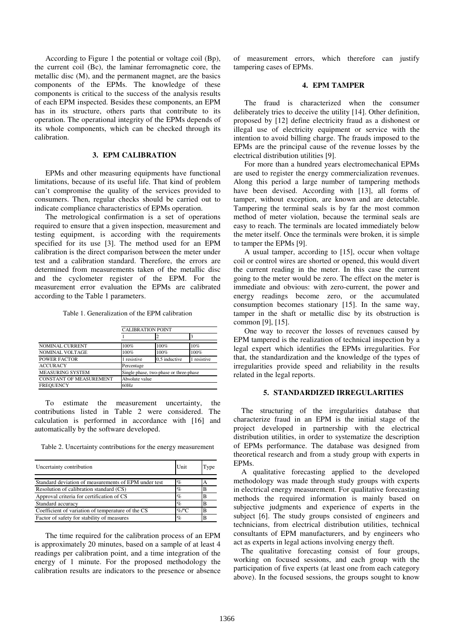According to Figure 1 the potential or voltage coil (Bp), the current coil (Bc), the laminar ferromagnetic core, the metallic disc (M), and the permanent magnet, are the basics components of the EPMs. The knowledge of these components is critical to the success of the analysis results of each EPM inspected. Besides these components, an EPM has in its structure, others parts that contribute to its operation. The operational integrity of the EPMs depends of its whole components, which can be checked through its calibration.

## **3. EPM CALIBRATION**

EPMs and other measuring equipments have functional limitations, because of its useful life. That kind of problem can't compromise the quality of the services provided to consumers. Then, regular checks should be carried out to indicate compliance characteristics of EPMs operation.

The metrological confirmation is a set of operations required to ensure that a given inspection, measurement and testing equipment, is according with the requirements specified for its use [3]. The method used for an EPM calibration is the direct comparison between the meter under test and a calibration standard. Therefore, the errors are determined from measurements taken of the metallic disc and the cyclometer register of the EPM. For the measurement error evaluation the EPMs are calibrated according to the Table 1 parameters.

Table 1. Generalization of the EPM calibration

|                                | <b>CALIBRATION POINT</b>               |               |           |  |
|--------------------------------|----------------------------------------|---------------|-----------|--|
|                                |                                        |               |           |  |
| <b>NOMINAL CURRENT</b>         | 100%                                   | 100%          | 10%       |  |
| <b>NOMINAL VOLTAGE</b>         | 100%                                   | 100%          | 100%      |  |
| <b>POWER FACTOR</b>            | 1 resistive                            | 0.5 inductive | resistive |  |
| <b>ACCURACY</b>                | Percentage                             |               |           |  |
| <b>MEASURING SYSTEM</b>        | Single phase, two-phase or three-phase |               |           |  |
| <b>CONSTANT OF MEASUREMENT</b> | Absolute value                         |               |           |  |
| <b>FREQUENCY</b>               | 60Hz                                   |               |           |  |

To estimate the measurement uncertainty, the contributions listed in Table 2 were considered. The calculation is performed in accordance with [16] and automatically by the software developed.

Table 2. Uncertainty contributions for the energy measurement

| Uncertainty contribution                             | Unit    | l'ype |
|------------------------------------------------------|---------|-------|
| Standard deviation of measurements of EPM under test | $\%$    |       |
| Resolution of calibration standard (CS)              | $\%$    |       |
| Approval criteria for certification of CS            | $\%$    |       |
| Standard accuracy                                    | $\%$    |       |
| Coefficient of variation of temperature of the CS    | $%$ $C$ |       |
| Factor of safety for stability of measures           | $\%$    |       |

The time required for the calibration process of an EPM is approximately 20 minutes, based on a sample of at least 4 readings per calibration point, and a time integration of the energy of 1 minute. For the proposed methodology the calibration results are indicators to the presence or absence of measurement errors, which therefore can justify tampering cases of EPMs.

### **4. EPM TAMPER**

The fraud is characterized when the consumer deliberately tries to deceive the utility [14]. Other definition, proposed by [12] define electricity fraud as a dishonest or illegal use of electricity equipment or service with the intention to avoid billing charge. The frauds imposed to the EPMs are the principal cause of the revenue losses by the electrical distribution utilities [9].

For more than a hundred years electromechanical EPMs are used to register the energy commercialization revenues. Along this period a large number of tampering methods have been devised. According with [13], all forms of tamper, without exception, are known and are detectable. Tampering the terminal seals is by far the most common method of meter violation, because the terminal seals are easy to reach. The terminals are located immediately below the meter itself. Once the terminals were broken, it is simple to tamper the EPMs [9].

A usual tamper, according to [15], occur when voltage coil or control wires are shorted or opened, this would divert the current reading in the meter. In this case the current going to the meter would be zero. The effect on the meter is immediate and obvious: with zero-current, the power and energy readings become zero, or the accumulated consumption becomes stationary [15]. In the same way, tamper in the shaft or metallic disc by its obstruction is common [9], [15].

One way to recover the losses of revenues caused by EPM tampered is the realization of technical inspection by a legal expert which identifies the EPMs irregularities. For that, the standardization and the knowledge of the types of irregularities provide speed and reliability in the results related in the legal reports.

#### **5. STANDARDIZED IRREGULARITIES**

The structuring of the irregularities database that characterize fraud in an EPM is the initial stage of the project developed in partnership with the electrical distribution utilities, in order to systematize the description of EPMs performance. The database was designed from theoretical research and from a study group with experts in EPMs.

A qualitative forecasting applied to the developed methodology was made through study groups with experts in electrical energy measurement. For qualitative forecasting methods the required information is mainly based on subjective judgments and experience of experts in the subject [6]. The study groups consisted of engineers and technicians, from electrical distribution utilities, technical consultants of EPM manufacturers, and by engineers who act as experts in legal actions involving energy theft.

The qualitative forecasting consist of four groups, working on focused sessions, and each group with the participation of five experts (at least one from each category above). In the focused sessions, the groups sought to know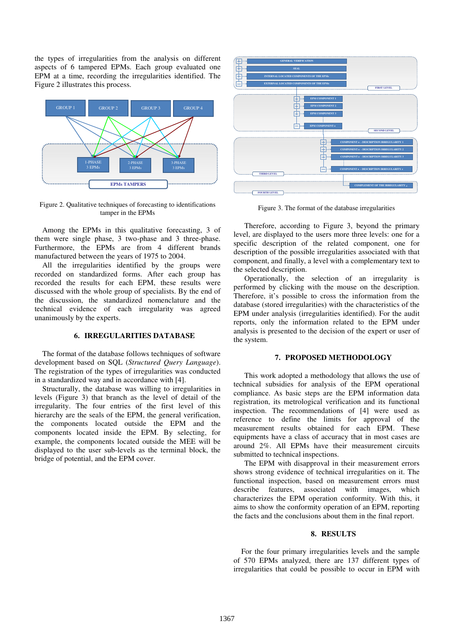the types of irregularities from the analysis on different aspects of 6 tampered EPMs. Each group evaluated one EPM at a time, recording the irregularities identified. The Figure 2 illustrates this process.



Figure 2. Qualitative techniques of forecasting to identifications tamper in the EPMs

Among the EPMs in this qualitative forecasting, 3 of them were single phase, 3 two-phase and 3 three-phase. Furthermore, the EPMs are from 4 different brands manufactured between the years of 1975 to 2004.

All the irregularities identified by the groups were recorded on standardized forms. After each group has recorded the results for each EPM, these results were discussed with the whole group of specialists. By the end of the discussion, the standardized nomenclature and the technical evidence of each irregularity was agreed unanimously by the experts.

## **6. IRREGULARITIES DATABASE**

The format of the database follows techniques of software development based on SQL (*Structured Query Language*). The registration of the types of irregularities was conducted in a standardized way and in accordance with [4].

Structurally, the database was willing to irregularities in levels (Figure 3) that branch as the level of detail of the irregularity. The four entries of the first level of this hierarchy are the seals of the EPM, the general verification, the components located outside the EPM and the components located inside the EPM. By selecting, for example, the components located outside the MEE will be displayed to the user sub-levels as the terminal block, the bridge of potential, and the EPM cover.



Figure 3. The format of the database irregularities

Therefore, according to Figure 3, beyond the primary level, are displayed to the users more three levels: one for a specific description of the related component, one for description of the possible irregularities associated with that component, and finally, a level with a complementary text to the selected description.

Operationally, the selection of an irregularity is performed by clicking with the mouse on the description. Therefore, it's possible to cross the information from the database (stored irregularities) with the characteristics of the EPM under analysis (irregularities identified). For the audit reports, only the information related to the EPM under analysis is presented to the decision of the expert or user of the system.

## **7. PROPOSED METHODOLOGY**

This work adopted a methodology that allows the use of technical subsidies for analysis of the EPM operational compliance. As basic steps are the EPM information data registration, its metrological verification and its functional inspection. The recommendations of [4] were used as reference to define the limits for approval of the measurement results obtained for each EPM. These equipments have a class of accuracy that in most cases are around 2%. All EPMs have their measurement circuits submitted to technical inspections.

The EPM with disapproval in their measurement errors shows strong evidence of technical irregularities on it. The functional inspection, based on measurement errors must describe features, associated with images, which characterizes the EPM operation conformity. With this, it aims to show the conformity operation of an EPM, reporting the facts and the conclusions about them in the final report.

# **8. RESULTS**

For the four primary irregularities levels and the sample of 570 EPMs analyzed, there are 137 different types of irregularities that could be possible to occur in EPM with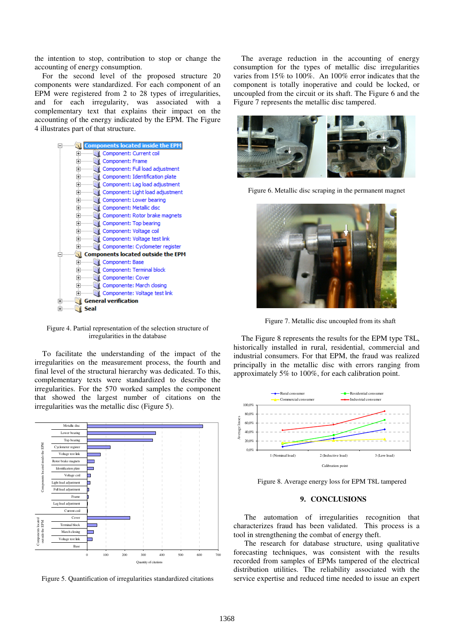the intention to stop, contribution to stop or change the accounting of energy consumption.

For the second level of the proposed structure 20 components were standardized. For each component of an EPM were registered from 2 to 28 types of irregularities, and for each irregularity, was associated with a complementary text that explains their impact on the accounting of the energy indicated by the EPM. The Figure 4 illustrates part of that structure.



Figure 4. Partial representation of the selection structure of irregularities in the database

To facilitate the understanding of the impact of the irregularities on the measurement process, the fourth and final level of the structural hierarchy was dedicated. To this, complementary texts were standardized to describe the irregularities. For the 570 worked samples the component that showed the largest number of citations on the irregularities was the metallic disc (Figure 5).



Figure 5. Quantification of irregularities standardized citations

The average reduction in the accounting of energy consumption for the types of metallic disc irregularities varies from 15% to 100%. An 100% error indicates that the component is totally inoperative and could be locked, or uncoupled from the circuit or its shaft. The Figure 6 and the Figure 7 represents the metallic disc tampered.



Figure 6. Metallic disc scraping in the permanent magnet



Figure 7. Metallic disc uncoupled from its shaft

The Figure 8 represents the results for the EPM type T8L, historically installed in rural, residential, commercial and industrial consumers. For that EPM, the fraud was realized principally in the metallic disc with errors ranging from approximately 5% to 100%, for each calibration point.



Figure 8. Average energy loss for EPM T8L tampered

## **9. CONCLUSIONS**

The automation of irregularities recognition that characterizes fraud has been validated. This process is a tool in strengthening the combat of energy theft.

The research for database structure, using qualitative forecasting techniques, was consistent with the results recorded from samples of EPMs tampered of the electrical distribution utilities. The reliability associated with the service expertise and reduced time needed to issue an expert